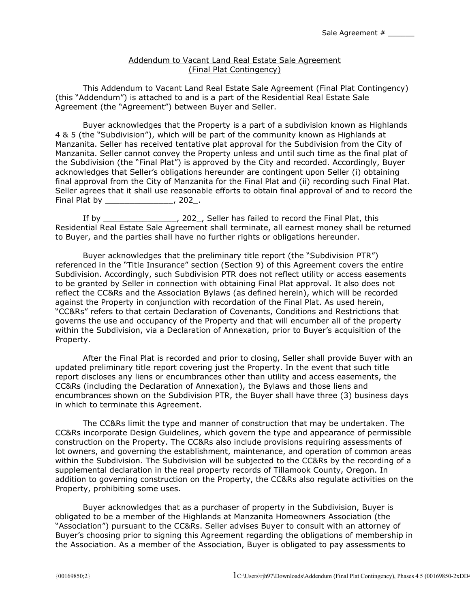## Addendum to Vacant Land Real Estate Sale Agreement (Final Plat Contingency)

This Addendum to Vacant Land Real Estate Sale Agreement (Final Plat Contingency) (this "Addendum") is attached to and is a part of the Residential Real Estate Sale Agreement (the "Agreement") between Buyer and Seller.

Buyer acknowledges that the Property is a part of a subdivision known as Highlands 4 & 5 (the "Subdivision"), which will be part of the community known as Highlands at Manzanita. Seller has received tentative plat approval for the Subdivision from the City of Manzanita. Seller cannot convey the Property unless and until such time as the final plat of the Subdivision (the "Final Plat") is approved by the City and recorded. Accordingly, Buyer acknowledges that Seller's obligations hereunder are contingent upon Seller (i) obtaining final approval from the City of Manzanita for the Final Plat and (ii) recording such Final Plat. Seller agrees that it shall use reasonable efforts to obtain final approval of and to record the Final Plat by Final Plat by The Research Control of the Research Control of the Research Control of the Research Control of the Research Control of the Research Control of the Research Control of the Research Control of th

If by \_\_\_\_\_\_\_\_\_\_\_\_\_\_\_, 202\_, Seller has failed to record the Final Plat, this Residential Real Estate Sale Agreement shall terminate, all earnest money shall be returned to Buyer, and the parties shall have no further rights or obligations hereunder.

Buyer acknowledges that the preliminary title report (the "Subdivision PTR") referenced in the "Title Insurance" section (Section 9) of this Agreement covers the entire Subdivision. Accordingly, such Subdivision PTR does not reflect utility or access easements to be granted by Seller in connection with obtaining Final Plat approval. It also does not reflect the CC&Rs and the Association Bylaws (as defined herein), which will be recorded against the Property in conjunction with recordation of the Final Plat. As used herein, "CC&Rs" refers to that certain Declaration of Covenants, Conditions and Restrictions that governs the use and occupancy of the Property and that will encumber all of the property within the Subdivision, via a Declaration of Annexation, prior to Buyer's acquisition of the Property.

After the Final Plat is recorded and prior to closing, Seller shall provide Buyer with an updated preliminary title report covering just the Property. In the event that such title report discloses any liens or encumbrances other than utility and access easements, the CC&Rs (including the Declaration of Annexation), the Bylaws and those liens and encumbrances shown on the Subdivision PTR, the Buyer shall have three (3) business days in which to terminate this Agreement.

The CC&Rs limit the type and manner of construction that may be undertaken. The CC&Rs incorporate Design Guidelines, which govern the type and appearance of permissible construction on the Property. The CC&Rs also include provisions requiring assessments of lot owners, and governing the establishment, maintenance, and operation of common areas within the Subdivision. The Subdivision will be subjected to the CC&Rs by the recording of a supplemental declaration in the real property records of Tillamook County, Oregon. In addition to governing construction on the Property, the CC&Rs also regulate activities on the Property, prohibiting some uses.

Buyer acknowledges that as a purchaser of property in the Subdivision, Buyer is obligated to be a member of the Highlands at Manzanita Homeowners Association (the "Association") pursuant to the CC&Rs. Seller advises Buyer to consult with an attorney of Buyer's choosing prior to signing this Agreement regarding the obligations of membership in the Association. As a member of the Association, Buyer is obligated to pay assessments to